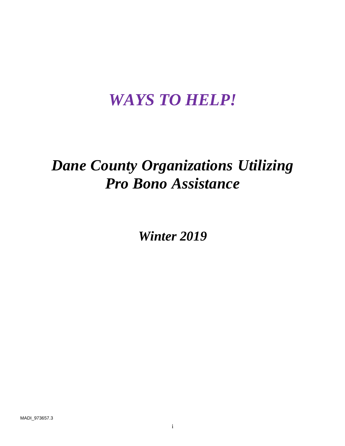# *WAYS TO HELP!*

# *Dane County Organizations Utilizing Pro Bono Assistance*

*Winter 2019*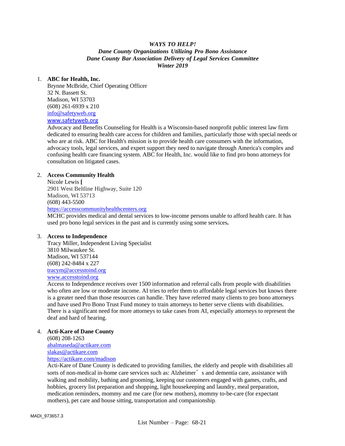# *WAYS TO HELP! Dane County Organizations Utilizing Pro Bono Assistance Dane County Bar Association Delivery of Legal Services Committee Winter 2019*

## 1. **ABC for Health, Inc.**

Brynne McBride, Chief Operating Officer 32 N. Bassett St. Madison, WI 53703 (608) 261-6939 x 210 [info@safetyweb.org](mailto:info@safetyweb.org) [www.safetyweb.org](http://www.safetyweb.org/)

Advocacy and Benefits Counseling for Health is a Wisconsin-based nonprofit public interest law firm dedicated to ensuring health care access for children and families, particularly those with special needs or who are at risk. ABC for Health's mission is to provide health care consumers with the information, advocacy tools, legal services, and expert support they need to navigate through America's complex and confusing health care financing system. ABC for Health, Inc. would like to find pro bono attorneys for consultation on litigated cases.

# 2. **Access Community Health**

Nicole Lewis **[** 2901 West Beltline Highway, Suite 120 Madison, WI 53713 (608) 443-5500 [https://accesscommunityhealthcenters.org](https://accesscommunityhealthcenters.org/)

MCHC provides medical and dental services to low-income persons unable to afford health care. It has used pro bono legal services in the past and is currently using some services**.**

## 3. **Access to Independence**

Tracy Miller, Independent Living Specialist 3810 Milwaukee St. Madison, WI 537144 (608) 242-8484 x 227 [tracym@accesstoind.org](mailto:tracym@accesstoind.org) [www.accesstoind.org](http://www.accesstoind.org/)

Access to Independence receives over 1500 information and referral calls from people with disabilities who often are low or moderate income. AI tries to refer them to affordable legal services but knows there is a greater need than those resources can handle. They have referred many clients to pro bono attorneys and have used Pro Bono Trust Fund money to train attorneys to better serve clients with disabilities. There is a significant need for more attorneys to take cases from AI, especially attorneys to represent the deaf and hard of hearing.

# 4. **Acti-Kare of Dane County**

[\(608\) 208-1263](tel:(608)%20208-1263) [abalmaseda@actikare.com](mailto:abalmaseda@actikare.com) [slakas@actikare.com](mailto:slakas@actikare.com)  [https://actikare.com/madison](https://actikare.com/madison/)

Acti-Kare of Dane County is dedicated to providing families, the elderly and people with disabilities all sorts of non-medical in-home care services such as: Alzheimer's and dementia care, assistance with walking and mobility, bathing and grooming, keeping our customers engaged with games, crafts, and hobbies, grocery list preparation and shopping, light housekeeping and laundry, meal preparation, medication reminders, mommy and me care (for new mothers), mommy to-be-care (for expectant mothers), pet care and house sitting, transportation and companionship.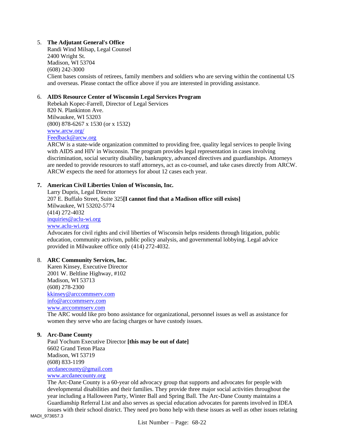# 5. **The Adjutant General's Office**

Randi Wind Milsap, Legal Counsel 2400 Wright St. Madison, WI 53704 (608) 242-3000 Client bases consists of retirees, family members and soldiers who are serving within the continental US and overseas. Please contact the office above if you are interested in providing assistance.

## 6. **AIDS Resource Center of Wisconsin Legal Services Program**

Rebekah Kopec-Farrell, Director of Legal Services 820 N. Plankinton Ave. Milwaukee, WI 53203 (800) 878-6267 x 1530 (or x 1532) [www.arcw.org/](http://www.arcw.org/) [Feedback@arcw.org](mailto:Feedback@arcw.org)

ARCW is a state-wide organization committed to providing free, quality legal services to people living with AIDS and HIV in Wisconsin. The program provides legal representation in cases involving discrimination, social security disability, bankruptcy, advanced directives and guardianships. Attorneys are needed to provide resources to staff attorneys, act as co-counsel, and take cases directly from ARCW. ARCW expects the need for attorneys for about 12 cases each year.

#### **7. American Civil Liberties Union of Wisconsin, Inc.**

Larry Dupris, Legal Director [207 E. Buffalo Street, Suite 325](https://maps.google.com/?q=207+E.+Buffalo+Street,+Suite+325+Milwaukee,+WI+53202&entry=gmail&source=g)**[I cannot find that a Madison office still exists]** [Milwaukee, WI 53202-](https://maps.google.com/?q=207+E.+Buffalo+Street,+Suite+325+Milwaukee,+WI+53202&entry=gmail&source=g)5774 [\(414\) 272-4032](tel:(414)%20272-4032) [inquiries@aclu-wi.org](mailto:inquiries@aclu-wi.org) [www.aclu-wi.org](http://www.aclu-wi.org/) Advocates for civil rights and civil liberties of Wisconsin helps residents through litigation, public education, community activism, public policy analysis, and governmental lobbying. Legal advice provided in Milwaukee office only (414) 272-4032.

## 8. **ARC Community Services, Inc.**

Karen Kinsey, Executive Director 2001 W. Beltline Highway, #102 Madison, WI 53713 (608) 278-2300 [kkinsey@arccommserv.com](mailto:kkinsey@arccommserv.com) [info@arccommserv.com](mailto:info@arccommserv.com) [www.arccommserv.com](http://www.arccommserv.com/) The ARC would like pro bono assistance for organizational, personnel issues as well as assistance for women they serve who are facing charges or have custody issues.

## **9. Arc-Dane County**

Paul Yochum Executive Director **[this may be out of date]** 6602 Grand Teton Plaza Madison, WI 53719 (608) 833-1199 [arcdanecounty@gmail.com](mailto:arcdanecounty@gmail.com) [www.arcdanecounty.org](http://www.arcdanecounty.org/)

The Arc-Dane County is a 60-year old advocacy group that supports and advocates for people with developmental disabilities and their families. They provide three major social activities throughout the year including a Halloween Party, Winter Ball and Spring Ball. The Arc-Dane County maintains a Guardianship Referral List and also serves as special education advocates for parents involved in IDEA

MADI\_973657.3 issues with their school district. They need pro bono help with these issues as well as other issues relating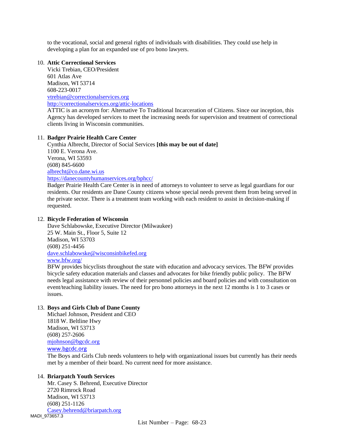to the vocational, social and general rights of individuals with disabilities. They could use help in developing a plan for an expanded use of pro bono lawyers.

## 10. **Attic Correctional Services**

Vicki Trebian, CEO/President 601 Atlas Ave Madison, WI 53714 608-223-0017 [vtrebian@correctionalservices.org](mailto:vtrebian@correctionalservices.org) <http://correctionalservices.org/attic-locations>

ATTIC is an acronym for: Alternative To Traditional Incarceration of Citizens. Since our inception, this Agency has developed services to meet the increasing needs for supervision and treatment of correctional clients living in Wisconsin communities.

# 11. **Badger Prairie Health Care Center**

Cynthia Albrecht, Director of Social Services **[this may be out of date]** 1100 E. Verona Ave. Verona, WI 53593 (608) 845-6600 [albrecht@co.dane.wi.us](mailto:albrecht@co.dane.wi.us) <https://danecountyhumanservices.org/bphcc/> Badger Prairie Health Care Center is in need of attorneys to volunteer to serve as legal guardians for our

residents. Our residents are Dane County citizens whose special needs prevent them from being served in the private sector. There is a treatment team working with each resident to assist in decision-making if requested.

## 12. **Bicycle Federation of Wisconsin**

Dave Schlabowske, Executive Director (Milwaukee) 25 W. Main St., Floor 5, Suite 12 Madison, WI 53703 (608) 251-4456 [dave.schlabowske@wisconsinbikefed.org](mailto:dave.schlabowske@wisconsinbikefed.org) [www.bfw.org/](http://www.bfw.org/)

BFW provides bicyclists throughout the state with education and advocacy services. The BFW provides bicycle safety education materials and classes and advocates for bike friendly public policy. The BFW needs legal assistance with review of their personnel policies and board policies and with consultation on event/teaching liability issues. The need for pro bono attorneys in the next 12 months is 1 to 3 cases or issues.

# 13. **Boys and Girls Club of Dane County**

Michael Johnson, President and CEO 1818 W. Beltline Hwy Madison, WI 53713 (608) 257-2606 [mjohnson@bgcdc.org](mailto:mjohnson@bgcdc.org) [www.bgcdc.org](http://www.bgcdc.org/)

The Boys and Girls Club needs volunteers to help with organizational issues but currently has their needs met by a member of their board. No current need for more assistance.

## 14. **Briarpatch Youth Services**

MADI\_973657.3 Mr. Casey S. Behrend, Executive Director 2720 Rimrock Road Madison, WI 53713 (608) 251-1126 [Casey.behrend@briarpatch.org](mailto:Casey.behrend@briarpatch.org)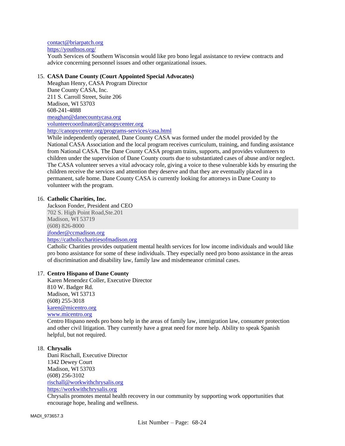[contact@briarpatch.org](mailto:contact@briarpatch.org)

<https://youthsos.org/>

Youth Services of Southern Wisconsin would like pro bono legal assistance to review contracts and advice concerning personnel issues and other organizational issues.

## 15. **CASA Dane County (Court Appointed Special Advocates)**

Meaghan Henry, CASA Program Director Dane County CASA, Inc. 211 S. Carroll Street, Suite 206 Madison, WI 53703 608-241-4888 [meaghan@danecountycasa.org](mailto:meaghan@danecountycasa.org) [volunteercoordinator@canopycenter.org](mailto:volunteercoordinator@canopycenter.org) <http://canopycenter.org/programs-services/casa.html>

While independently operated, Dane County CASA was formed under the model provided by the National CASA Association and the local program receives curriculum, training, and funding assistance from National CASA. The Dane County CASA program trains, supports, and provides volunteers to children under the supervision of Dane County courts due to substantiated cases of abuse and/or neglect. The CASA volunteer serves a vital advocacy role, giving a voice to these vulnerable kids by ensuring the children receive the services and attention they deserve and that they are eventually placed in a permanent, safe home. Dane County CASA is currently looking for attorneys in Dane County to volunteer with the program.

# 16. **Catholic Charities, Inc.**

Jackson Fonder, President and CEO 702 S. High Point Road,Ste.201 Madison, WI 53719 (608) 826-8000 [jfonder@ccmadison.org](mailto:jfonder@ccmadison.org) [https://catholiccharitiesofmadison.org](https://catholiccharitiesofmadison.org/)

Catholic Charities provides outpatient mental health services for low income individuals and would like pro bono assistance for some of these individuals. They especially need pro bono assistance in the areas of discrimination and disability law, family law and misdemeanor criminal cases.

## 17. **Centro Hispano of Dane County**

Karen Menendez Coller, Executive Director 810 W. Badger Rd. Madison, WI 53713 (608) 255-3018 [karen@micentro.org](mailto:karen@micentro.org) [www.micentro.org](http://www.micentro.org/)

Centro Hispano needs pro bono help in the areas of family law, immigration law, consumer protection and other civil litigation. They currently have a great need for more help. Ability to speak Spanish helpful, but not required.

## 18. **Chrysalis**

Dani Rischall, Executive Director 1342 Dewey Court Madison, WI 53703 (608) 256-3102 [rischall@workwithchrysalis.org](mailto:rischall@workwithchrysalis.org) [https://workwithchrysalis.org](https://workwithchrysalis.org/)

Chrysalis promotes mental health recovery in our community by supporting work opportunities that encourage hope, healing and wellness.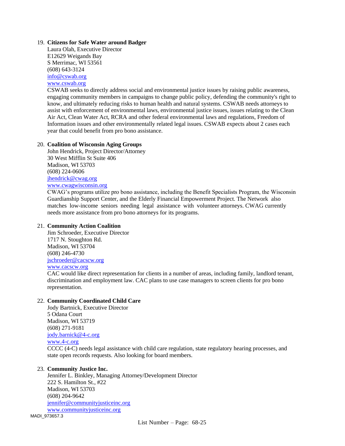## 19. **Citizens for Safe Water around Badger**

Laura Olah, Executive Director E12629 Weigands Bay S Merrimac, WI 53561 (608) 643-3124 [info@cswab.org](mailto:info@cswab.org) [www.cswab.org](http://www.cswab.org/)

CSWAB seeks to directly address social and environmental justice issues by raising public awareness, engaging community members in campaigns to change public policy, defending the community's right to know, and ultimately reducing risks to human health and natural systems. CSWAB needs attorneys to assist with enforcement of environmental laws, environmental justice issues, issues relating to the Clean Air Act, Clean Water Act, RCRA and other federal environmental laws and regulations, Freedom of Information issues and other environmentally related legal issues. CSWAB expects about 2 cases each year that could benefit from pro bono assistance.

## 20. **Coalition of Wisconsin Aging Groups**

John Hendrick, Project Director/Attorney 30 West Mifflin St Suite 406 Madison, WI 53703 (608) 224-0606 [jhendrick@cwag.org](mailto:jhendrick@cwag.org) [www.cwagwisconsin.org](http://www.cwagwisconsin.org/)

CWAG's programs utilize pro bono assistance, including the Benefit Specialists Program, the Wisconsin Guardianship Support Center, and the Elderly Financial Empowerment Project. The Network also matches low-income seniors needing legal assistance with volunteer attorneys. CWAG currently needs more assistance from pro bono attorneys for its programs.

## 21. **Community Action Coalition**

Jim Schroeder, Executive Director 1717 N. Stoughton Rd. Madison, WI 53704 (608) 246-4730 [jschroeder@cacscw.org](mailto:jschroeder@cacscw.org) [www.cacscw.org](http://www.cacscw.org/)

CAC would like direct representation for clients in a number of areas, including family, landlord tenant, discrimination and employment law. CAC plans to use case managers to screen clients for pro bono representation.

# 22. **Community Coordinated Child Care**

Jody Bartnick, Executive Director 5 Odana Court Madison, WI 53719 (608) 271-9181 [jody.barnick@4-c.org](mailto:jody.barnick@4-c.org) [www.4-c.org](http://www.4-c.org/) CCCC (4-C) needs legal assistance with child care regulation, state regulatory hearing processes, and state open records requests. Also looking for board members.

#### 23. **Community Justice Inc.**

Jennifer L. Binkley, Managing Attorney/Development Director 222 S. Hamilton St., #22 Madison, WI 53703 (608) 204-9642 [jennifer@communityjusticeinc.org](mailto:jennifer@communityjusticeinc.org) [www.communityjusticeinc.org](http://www.communityjusticeinc.org/)

MADI\_973657.3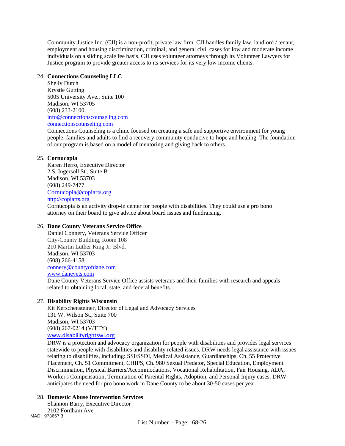Community Justice Inc. (CJI) is a non-profit, private law firm. CJI handles family law, landlord / tenant, employment and housing discrimination, criminal, and general civil cases for low and moderate income individuals on a sliding scale fee basis. CJI uses volunteer attorneys through its Volunteer Lawyers for Justice program to provide greater access to its services for its very low income clients.

## 24. **Connections Counseling LLC**

Shelly Dutch Krystle Gutting 5005 University Ave., Suite 100 Madison, WI 53705 (608) 233-2100 [info@connectionscounseling.com](mailto:info@connectionscounseling.com) [connectionscounseling.com](http://connectionscounseling.com/)

Connections Counseling is a clinic focused on creating a safe and supportive environment for young people, families and adults to find a recovery community conducive to hope and healing. The foundation of our program is based on a model of mentoring and giving back to others.

## 25. **Cornucopia**

Karen Herro, Executive Director 2 S. Ingersoll St., Suite B Madison, WI 53703 (608) 249-7477 [Cornucopia@copiarts.org](mailto:Cornucopia@copiarts.org) [http://copiarts.org](http://copiarts.org/)

Cornucopia is an activity drop-in center for people with disabilities. They could use a pro bono attorney on their board to give advice about board issues and fundraising.

## 26. **Dane County Veterans Service Office**

Daniel Connery, Veterans Service Officer City-County Building, Room 108 210 Martin Luther King Jr. Blvd. Madison, WI 53703 (608) 266-4158 [connery@countyofdane.com](mailto:connery@countyofdane.com) [www.danevets.com](http://www.danevets.com/) Dane County Veterans Service Office assists veterans and their families with research and appeals related to obtaining local, state, and federal benefits.

## 27. **Disability Rights Wisconsin**

Kit Kerschensteiner, Director of Legal and Advocacy Services 131 W. Wilson St., Suite 700 Madison, WI 53703 (608) 267-0214 (V/TTY) [www.disabilityrightswi.org](http://www.disabilityrightswi.org/)

DRW is a protection and advocacy organization for people with disabilities and provides legal services statewide to people with disabilities and disability related issues. DRW needs legal assistance with issues relating to disabilities, including: SSI/SSDI, Medical Assistance, Guardianships, Ch. 55 Protective Placement, Ch. 51 Commitment, CHIPS, Ch. 980 Sexual Predator, Special Education, Employment Discrimination, Physical Barriers/Accommodations, Vocational Rehabilitation, Fair Housing, ADA, Worker's Compensation, Termination of Parental Rights, Adoption, and Personal Injury cases. DRW anticipates the need for pro bono work in Dane County to be about 30-50 cases per year.

## 28. **Domestic Abuse Intervention Services**

MADI\_973657.3 Shannon Barry, Executive Director 2102 Fordham Ave.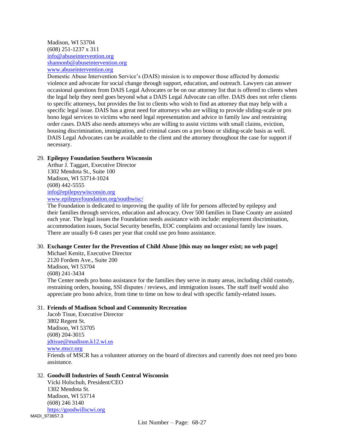Madison, WI 53704 (608) 251-1237 x 311 [info@abuseintervention.org](mailto:info@abuseintervention.org) [shannonb@abuseintervention.org](mailto:shannonb@abuseintervention.org) [www.abuseintervention.org](http://www.abuseintervention.org/)

Domestic Abuse Intervention Service's (DAIS) mission is to empower those affected by domestic violence and advocate for social change through support, education, and outreach. Lawyers can answer occasional questions from DAIS Legal Advocates or be on our attorney list that is offered to clients when the legal help they need goes beyond what a DAIS Legal Advocate can offer. DAIS does not refer clients to specific attorneys, but provides the list to clients who wish to find an attorney that may help with a specific legal issue. DAIS has a great need for attorneys who are willing to provide sliding-scale or pro bono legal services to victims who need legal representation and advice in family law and restraining order cases. DAIS also needs attorneys who are willing to assist victims with small claims, eviction, housing discrimination, immigration, and criminal cases on a pro bono or sliding-scale basis as well. DAIS Legal Advocates can be available to the client and the attorney throughout the case for support if necessary.

## 29. **Epilepsy Foundation Southern Wisconsin**

Arthur J. Taggart, Executive Director 1302 Mendota St., Suite 100 Madison, WI 53714-1024 (608) 442-5555 [info@epilepsywisconsin.org](mailto:info@epilepsywisconsin.org) [www.epilepsyfoundation.org/southwisc/](http://www.epilepsyfoundation.org/southwisc/)

The Foundation is dedicated to improving the quality of life for persons affected by epilepsy and their families through services, education and advocacy. Over 500 families in Dane County are assisted each year. The legal issues the Foundation needs assistance with include: employment discrimination, accommodation issues, Social Security benefits, EOC complaints and occasional family law issues. There are usually 6-8 cases per year that could use pro bono assistance.

## 30. **Exchange Center for the Prevention of Child Abuse [this may no longer exist; no web page]**

Michael Kenitz, Executive Director 2120 Fordem Ave., Suite 200 Madison, WI 53704 (608) 241-3434 The Center needs pro bono assistance for the families they serve in many areas, including child custody, restraining orders, housing, SSI disputes / reviews, and immigration issues. The staff itself would also appreciate pro bono advice, from time to time on how to deal with specific family-related issues.

#### 31. **Friends of Madison School and Community Recreation**

Jacob Tisue, Executive Director 3802 Regent St. Madison, WI 53705 (608) 204-3015 [jdtisue@madison.k12.wi.us](mailto:jdtisue@madison.k12.wi.us) [www.mscr.org](http://www.mscr.org/) Friends of MSCR has a volunteer attorney on the board of directors and currently does not need pro bono assistance.

# 32. **Goodwill Industries of South Central Wisconsin**

MADI\_973657.3 Vicki Holschuh, President/CEO 1302 Mendota St. Madison, WI 53714 (608) 246 3140 [https://goodwillscwi.org](https://goodwillscwi.org/)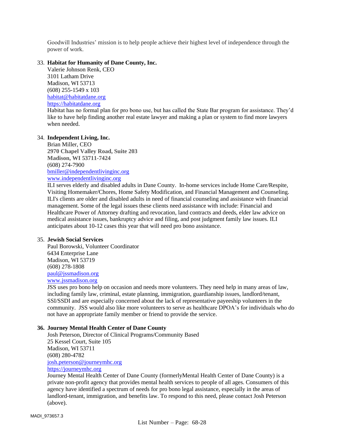Goodwill Industries' mission is to help people achieve their highest level of independence through the power of work.

## 33. **Habitat for Humanity of Dane County, Inc.**

Valerie Johnson Renk, CEO 3101 Latham Drive Madison, WI 53713 (608) 255-1549 x 103 [habitat@habitatdane.org](mailto:habitat@habitatdane.org) [https://habitatdane.org](https://habitatdane.org/)

Habitat has no formal plan for pro bono use, but has called the State Bar program for assistance. They'd like to have help finding another real estate lawyer and making a plan or system to find more lawyers when needed.

#### 34. **Independent Living, Inc.**

Brian Miller, CEO **2970 Chapel Valley Road, Suite 203 Madison, WI 53711-7424** (608) 274-7900 [bmiller@independentlivinginc.org](mailto:bmiller@independentlivinginc.org) [www.independentlivinginc.org](http://www.independentlivinginc.org/)

ILI serves elderly and disabled adults in Dane County. In-home services include Home Care/Respite, Visiting Homemaker/Chores, Home Safety Modification, and Financial Management and Counseling. ILI's clients are older and disabled adults in need of financial counseling and assistance with financial management. Some of the legal issues these clients need assistance with include: Financial and Healthcare Power of Attorney drafting and revocation, land contracts and deeds, elder law advice on medical assistance issues, bankruptcy advice and filing, and post judgment family law issues. ILI anticipates about 10-12 cases this year that will need pro bono assistance.

#### 35. **Jewish Social Services**

Paul Borowski, Volunteer Coordinator 6434 Enterprise Lane Madison, WI 53719 (608) 278-1808 [paul@jssmadison.org](mailto:paul@jssmadison.org) [www.jssmadison.org](http://www.jssmadison.org/)

JSS uses pro bono help on occasion and needs more volunteers. They need help in many areas of law, including family law, criminal, estate planning, immigration, guardianship issues, landlord/tenant, SSI/SSDI and are especially concerned about the lack of representative payeeship volunteers in the community. JSS would also like more volunteers to serve as healthcare DPOA's for individuals who do not have an appropriate family member or friend to provide the service.

## **36. Journey Mental Health Center of Dane County**

Josh Peterson, Director of Clinical Programs/Community Based 25 Kessel Court, Suite 105 Madison, WI 53711 [\(608\) 280-4782](tel:+16082804782) [josh.peterson@journeymhc.org](mailto:josh.peterson@journeymhc.org) [https://journeymhc.org](https://journeymhc.org/)

Journey Mental Health Center of Dane County (formerlyMental Health Center of Dane County) is a private non-profit agency that provides mental health services to people of all ages. Consumers of this agency have identified a spectrum of needs for pro bono legal assistance, especially in the areas of landlord-tenant, immigration, and benefits law. To respond to this need, please contact Josh Peterson (above).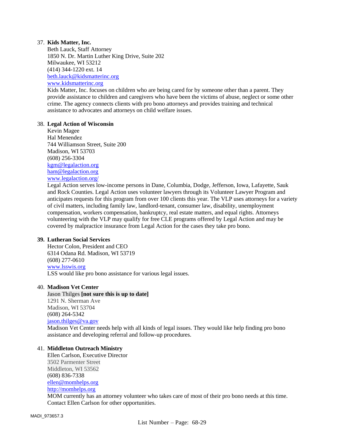## 37. **Kids Matter, Inc.**

Beth Lauck, Staff Attorney 1850 N. Dr. Martin Luther King Drive, Suite 202 Milwaukee, WI 53212 (414) 344-1220 ext. 1[4](mailto:beth.lauck@kidsmatterinc.org) [beth.lauck@kidsmatterinc.org](mailto:beth.lauck@kidsmatterinc.org) [www.kidsmatterinc.org](http://www.kidsmatterinc.org/)

Kids Matter, Inc. focuses on children who are being cared for by someone other than a parent. They provide assistance to children and caregivers who have been the victims of abuse, neglect or some other crime. The agency connects clients with pro bono attorneys and provides training and technical assistance to advocates and attorneys on child welfare issues.

#### 38. **Legal Action of Wisconsin**

Kevin Magee Hal Menendez 744 Williamson Street, Suite 200 Madison, WI 53703 (608) 256-3304 [kgm@legalaction.org](mailto:kgm@legalaction.org) ham@legalaction.org [www.legalaction.org/](http://www.legalaction.org/)

Legal Action serves low-income persons in Dane, Columbia, Dodge, Jefferson, Iowa, Lafayette, Sauk and Rock Counties. Legal Action uses volunteer lawyers through its Volunteer Lawyer Program and anticipates requests for this program from over 100 clients this year. The VLP uses attorneys for a variety of civil matters, including family law, landlord-tenant, consumer law, disability, unemployment compensation, workers compensation, bankruptcy, real estate matters, and equal rights. Attorneys volunteering with the VLP may qualify for free CLE programs offered by Legal Action and may be covered by malpractice insurance from Legal Action for the cases they take pro bono.

#### **39. Lutheran Social Services**

Hector Colon, President and CEO 6314 Odana Rd. Madison, WI 53719 (608) 277-0610 www.lsswis.org LSS would like pro bono assistance for various legal issues.

#### 40. **Madison Vet Center**

Jason Thilges **[not sure this is up to date]** 1291 N. Sherman Ave Madison, WI 53704 (608) 264-5342 jason.thilges@va.gov Madison Vet Center needs help with all kinds of legal issues. They would like help finding pro bono assistance and developing referral and follow-up procedures.

## 41. **Middleton Outreach Ministry**

Ellen Carlson, Executive Director 3502 Parmenter Street Middleton, WI 53562 (608) 836-7338 [ellen@momhelps.org](mailto:ellen@momhelps.org) [http://momhelps.org](http://momhelps.org/) MOM currently has an attorney volunteer who takes care of most of their pro bono needs at this time. Contact Ellen Carlson for other opportunities.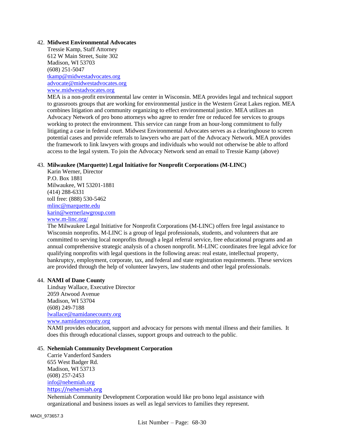## 42. **Midwest Environmental Advocates**

Tressie Kamp, Staff Attorney 612 W Main Street, Suite 302 Madison, WI 53703 (608) 251-5047 [tkamp@midwestadvocates.org](mailto:tkamp@midwestadvocates.org) [advocate@midwestadvocates.org](mailto:advocate@midwestadvocates.org) [www.midwestadvocates.org](http://www.midwestadvocates.org/)

MEA is a non-profit environmental law center in Wisconsin. MEA provides legal and technical support to grassroots groups that are working for environmental justice in the Western Great Lakes region. MEA combines litigation and community organizing to effect environmental justice. MEA utilizes an Advocacy Network of pro bono attorneys who agree to render free or reduced fee services to groups working to protect the environment. This service can range from an hour-long commitment to fully litigating a case in federal court. Midwest Environmental Advocates serves as a clearinghouse to screen potential cases and provide referrals to lawyers who are part of the Advocacy Network. MEA provides the framework to link lawyers with groups and individuals who would not otherwise be able to afford access to the legal system. To join the Advocacy Network send an email to Tressie Kamp (above)

#### 43. **Milwaukee (Marquette) Legal Initiative for Nonprofit Corporations (M-LINC)**

Karin Werner, Director P.O. Box 1881 Milwaukee, WI 53201-1881 (414) 288-6331 toll free: (888) 530-5462 [mlinc@marquette.edu](mailto:mlinc@marquette.edu) [karin@wernerlawgroup.com](mailto:karin@wernerlawgroup.com) [www.m-linc.org/](http://www.m-linc.org/)

The Milwaukee Legal Initiative for Nonprofit Corporations (M-LINC) offers free legal assistance to Wisconsin nonprofits. M-LINC is a group of legal professionals, students, and volunteers that are committed to serving local nonprofits through a legal referral service, free educational programs and an annual comprehensive strategic analysis of a chosen nonprofit. M-LINC coordinates free legal advice for qualifying nonprofits with legal questions in the following areas: real estate, intellectual property, bankruptcy, employment, corporate, tax, and federal and state registration requirements. These services are provided through the help of volunteer lawyers, law students and other legal professionals.

## 44. **NAMI of Dane County**

Lindsay Wallace, Executive Director 2059 Atwood Avenue Madison, WI 53704 (608) 249-7188 [lwallace@namidanecounty.org](mailto:lwallace@namidanecounty.org) [www.namidanecounty.org](http://namidanecounty.org/)

NAMI provides education, support and advocacy for persons with mental illness and their families. It does this through educational classes, support groups and outreach to the public.

#### 45. **Nehemiah Community Development Corporation**

Carrie Vanderford Sanders 655 West Badger Rd. Madison, WI 53713 (608) 257-2453 [info@nehemiah.org](mailto:info@nehemiah.org) [https://nehemiah.org](https://nehemiah.org/)

Nehemiah Community Development Corporation would like pro bono legal assistance with organizational and business issues as well as legal services to families they represent.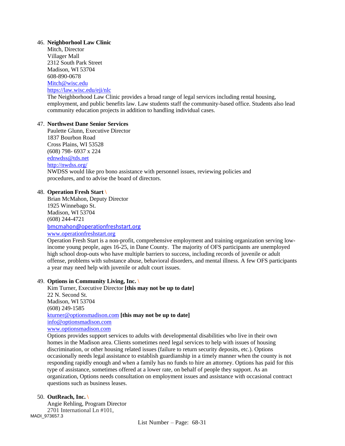## 46. **Neighborhool Law Clinic**

Mitch, Director Villager Mall 2312 South Park Street Madison, WI 53704 608-890-0678 [Mitch@wisc.edu](mailto:Mitch@wisc.edu) <https://law.wisc.edu/eji/nlc> The Neighborhood Law Clinic provides a broad range of legal services including rental housing, employment, and public benefits law. Law students staff the community-based office. Students also lead community education projects in addition to handling individual cases.

# 47. **Northwest Dane Senior Services**

Paulette Glunn, Executive Director 1837 Bourbon Road Cross Plains, WI 53528 (608) 798- 6937 x 224 [ednwdss@tds.net](mailto:ednwdss@tds.net) <http://nwdss.org/> NWDSS would like pro bono assistance with personnel issues, reviewing policies and procedures, and to advise the board of directors.

## 48. **Operation Fresh Start \**

Brian McMahon, Deputy Director 1925 Winnebago St. Madison, WI 53704 (608) 244-4721 [bmcmahon@operationfreshstart.org](mailto:bmcmahon@operationfreshstart.org) [www.operationfreshstart.org](http://www.operationfreshstart.org/)

Operation Fresh Start is a non-profit, comprehensive employment and training organization serving lowincome young people, ages 16-25, in Dane County. The majority of OFS participants are unemployed high school drop-outs who have multiple barriers to success, including records of juvenile or adult offense, problems with substance abuse, behavioral disorders, and mental illness. A few OFS participants a year may need help with juvenile or adult court issues.

## 49. **Options in Community Living, Inc. \**

Kim Turner, Executive Director **[this may not be up to date]** 22 N. Second St. Madison, WI 53704 (608) 249-1585 [kturner@optionsmadison.com](mailto:kturner@optionsmadison.com) **[this may not be up to date]** [info@optionsmadison.com](mailto:info@optionsmadison.com) [www.optionsmadison.com](http://www.optionsmadison.com/)

Options provides support services to adults with developmental disabilities who live in their own homes in the Madison area. Clients sometimes need legal services to help with issues of housing discrimination, or other housing related issues (failure to return security deposits, etc.). Options occasionally needs legal assistance to establish guardianship in a timely manner when the county is not responding rapidly enough and when a family has no funds to hire an attorney. Options has paid for this type of assistance, sometimes offered at a lower rate, on behalf of people they support. As an organization, Options needs consultation on employment issues and assistance with occasional contract questions such as business leases.

## 50. **OutReach, Inc. \**

MADI\_973657.3 Angie Rehling, Program Director 2701 International Ln #101,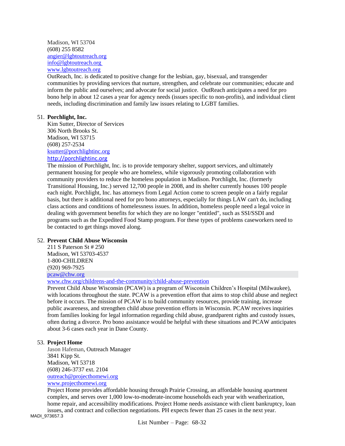Madison, WI 53704 (608) 255 8582 [angier@lgbtoutreach.org](mailto:angier@lgbtoutreach.org) info@lgbtoutreach.org [www.lgbtoutreach.org](http://www.lgbtoutreach.org/)

OutReach, Inc. is dedicated to positive change for the lesbian, gay, bisexual, and transgender communities by providing services that nurture, strengthen, and celebrate our communities; educate and inform the public and ourselves; and advocate for social justice. OutReach anticipates a need for pro bono help in about 12 cases a year for agency needs (issues specific to non-profits), and individual client needs, including discrimination and family law issues relating to LGBT families.

# 51. **Porchlight, Inc.**

Kim Sutter, Director of Services 306 North Brooks St. Madison, WI 53715 (608) 257-2534 [ksutter@porchlightinc.org](mailto:ksutter@porchlightinc.org) [http://porchlightinc.org](http://porchlightinc.org/)

The mission of Porchlight, Inc. is to provide temporary shelter, support services, and ultimately permanent housing for people who are homeless, while vigorously promoting collaboration with community providers to reduce the homeless population in Madison. Porchlight, Inc. (formerly Transitional Housing, Inc.) served 12,700 people in 2008, and its shelter currently houses 100 people each night. Porchlight, Inc. has attorneys from Legal Action come to screen people on a fairly regular basis, but there is additional need for pro bono attorneys, especially for things LAW can't do, including class actions and conditions of homelessness issues. In addition, homeless people need a legal voice in dealing with government benefits for which they are no longer "entitled", such as SSI/SSDI and programs such as the Expedited Food Stamp program. For these types of problems caseworkers need to be contacted to get things moved along.

## 52. **Prevent Child Abuse Wisconsin**

211 S Paterson St # 250 Madison, WI 53703-4537 1-800-CHILDREN (920) 969-7925 [pcaw@chw.org](mailto:pcaw@chw.org)

[www.chw.org/childrens-and-the-community/child-abuse-prevention](http://www.chw.org/childrens-and-the-community/child-abuse-prevention)

Prevent Child Abuse Wisconsin (PCAW) is a program of Wisconsin Children's Hospital (Milwaukee), with locations throughout the state. PCAW is a prevention effort that aims to stop child abuse and neglect before it occurs. The mission of PCAW is to build community resources, provide training, increase public awareness, and strengthen child abuse prevention efforts in Wisconsin. PCAW receives inquiries from families looking for legal information regarding child abuse, grandparent rights and custody issues, often during a divorce. Pro bono assistance would be helpful with these situations and PCAW anticipates about 3-6 cases each year in Dane County.

## 53. **Project Home**

Jason Hafeman, Outreach Manager 3841 Kipp St. Madison, WI 53718 (608) 246-3737 ext. 2104 [outreach@projecthomewi.org](mailto:outreach@projecthomewi.org) [www.projecthomewi.org](http://www.projecthomewi.org/)

Project Home provides affordable housing through Prairie Crossing, an affordable housing apartment complex, and serves over 1,000 low-to-moderate-income households each year with weatherization, home repair, and accessibility modifications. Project Home needs assistance with client bankruptcy, loan issues, and contract and collection negotiations. PH expects fewer than 25 cases in the next year.

MADI\_973657.3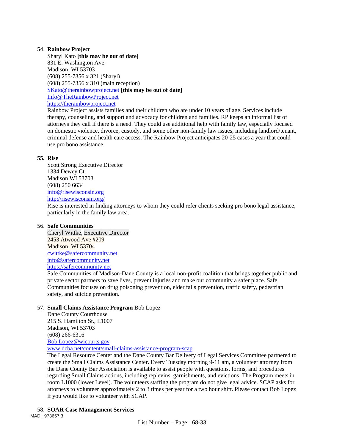# 54. **Rainbow Project**

Sharyl Kato **[this may be out of date]** 831 E. Washington Ave. Madison, WI 53703 (608) 255-7356 x 321 (Sharyl) (608) 255-7356 x 310 (main reception) [SKato@therainbowproject.net](mailto:SKato@therainbowproject.net) **[this may be out of date]** Info@TheRainbowProject.net [https://therainbowproject.net](https://therainbowproject.net/)

Rainbow Project assists families and their children who are under 10 years of age. Services include therapy, counseling, and support and advocacy for children and families. RP keeps an informal list of attorneys they call if there is a need. They could use additional help with family law, especially focused on domestic violence, divorce, custody, and some other non-family law issues, including landlord/tenant, criminal defense and health care access. The Rainbow Project anticipates 20-25 cases a year that could use pro bono assistance.

# **55. Rise**

Scott Strong Executive Director 1334 Dewey Ct. Madison WI 53703 (608) 250 6634 [info@risewisconsin.org](mailto:info@risewisconsin.org) <http://risewisconsin.org/>

Rise is interested in finding attorneys to whom they could refer clients seeking pro bono legal assistance, particularly in the family law area.

# 56. **Safe Communities**

Cheryl Wittke, Executive Director 2453 Atwood Ave #209 Madison, WI 53704 [cwittke@safercommunity.net](mailto:cwittke@safercommunity.net) [info@safercommunity.net](mailto:info@safercommunity.net) [https://safercommunity.net](https://safercommunity.net/)

Safe Communities of Madison-Dane County is a local non-profit coalition that brings together public and private sector partners to save lives, prevent injuries and make our community a safer place. Safe Communities focuses on drug poisoning prevention, elder falls prevention, traffic safety, pedestrian safety, and suicide prevention.

# 57. **Small Claims Assistance Program** Bob Lopez

Dane County Courthouse 215 S. Hamilton St., L1007 Madison, WI 53703 (608) 266-6316 [Bob.Lopez@wicourts.gov](mailto:Bob.Lopez@wicourts.gov)

[www.dcba.net/content/small-claims-assistance-program-scap](http://www.dcba.net/content/small-claims-assistance-program-scap)

The Legal Resource Center and the Dane County Bar Delivery of Legal Services Committee partnered to create the Small Claims Assistance Center. Every Tuesday morning 9-11 am, a volunteer attorney from the Dane County Bar Association is available to assist people with questions, forms, and procedures regarding Small Claims actions, including replevins, garnishments, and evictions. The Program meets in room L1000 (lower Level). The volunteers staffing the program do not give legal advice. SCAP asks for attorneys to volunteer approximately 2 to 3 times per year for a two hour shift. Please contact Bob Lopez if you would like to volunteer with SCAP.

MADI\_973657.3 58. **SOAR Case Management Services**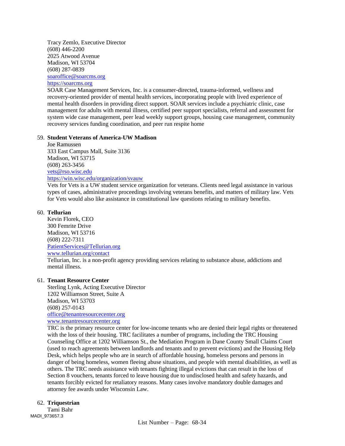Tracy Zemlo, Executive Director (608) 446-2200 2025 Atwood Avenue Madison, WI 53704 (608) 287-0839 [soaroffice@soarcms.org](mailto:soaroffice@soarcms.org) [https://soarcms.org](https://soarcms.org/)

SOAR Case Management Services, Inc. is a consumer-directed, trauma-informed, wellness and recovery-oriented provider of mental health services, incorporating people with lived experience of mental health disorders in providing direct support. SOAR services include a psychiatric clinic, case management for adults with mental illness, certified peer support specialists, referral and assessment for system wide case management, peer lead weekly support groups, housing case management, community recovery services funding coordination, and peer run respite home

#### 59. **Student Veterans of America-UW Madison**

Joe Ramussen 333 East Campus Mall, Suite 3136 Madison, WI 53715 (608) 263-3456 [vets@rso.wisc.edu](mailto:vets@rso.wisc.edu) <https://win.wisc.edu/organization/svauw>

Vets for Vets is a UW student service organization for veterans. Clients need legal assistance in various types of cases, administrative proceedings involving veterans benefits, and matters of military law. Vets for Vets would also like assistance in constitutional law questions relating to military benefits.

## 60. **Tellurian**

Kevin Florek, CEO 300 Femrite Drive Madison, WI 53716 (608) 222-7311 [PatientServices@Tellurian.org](mailto:PatientServices@Tellurian.org) [www.tellurian.org/contact](http://www.tellurian.org/contact) Tellurian, Inc. is a non-profit agency providing services relating to substance abuse, addictions and mental illness.

## 61. **Tenant Resource Center**

Sterling Lynk, Acting Executive Director 1202 Williamson Street, Suite A Madison, WI 53703 (608) 257-0143 [office@tenantresourcecenter.org](mailto:office@tenantresourcecenter.org) [www.tenantresourcecenter.org](http://www.tenantresourcecenter.org/)

TRC is the primary resource center for low-income tenants who are denied their legal rights or threatened with the loss of their housing. TRC facilitates a number of programs, including the TRC Housing Counseling Office at 1202 Williamson St., the Mediation Program in Dane County Small Claims Court (used to reach agreements between landlords and tenants and to prevent evictions) and the Housing Help Desk, which helps people who are in search of affordable housing, homeless persons and persons in danger of being homeless, women fleeing abuse situations, and people with mental disabilities, as well as others. The TRC needs assistance with tenants fighting illegal evictions that can result in the loss of Section 8 vouchers, tenants forced to leave housing due to undisclosed health and safety hazards, and tenants forcibly evicted for retaliatory reasons. Many cases involve mandatory double damages and attorney fee awards under Wisconsin Law.

## 62. **Triquestrian**

MADI\_973657.3 Tami Bahr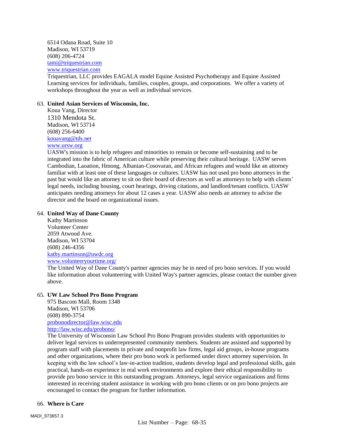6514 Odana Road, Suite 10 Madison, WI 53719 (608) 206-4724 [tami@triquestrian.com](mailto:tami@triquestrian.com) [www.triquestrian.com](http://www.triquestrian.com/)

Triquestrian, LLC provides EAGALA model Equine Assisted Psychotherapy and Equine Assisted Learning services for individuals, families, couples, groups, and corporations. We offer a variety of workshops throughout the year as well as individual services.

# 63. **United Asian Services of Wisconsin, Inc.**

Koua Vang, Director 1310 Mendota St. Madison, WI 53714 (608) 256-6400 [kouavang@tds.net](mailto:kouavang@tds.net) [www.ursw.org](http://www.ursw.org/)

UASW's mission is to help refugees and minorities to remain or become self-sustaining and to be integrated into the fabric of American culture while preserving their cultural heritage. UASW serves Cambodian, Laoation, Hmong, Albanian-Cosovaran, and African refugees and would like an attorney familiar with at least one of these languages or cultures. UASW has not used pro bono attorneys in the past but would like an attorney to sit on their board of directors as well as attorneys to help with clients' legal needs, including housing, court hearings, driving citations, and landlord/tenant conflicts. UASW anticipates needing attorneys for about 12 cases a year. UASW also needs an attorney to advise the director and the board on organizational issues.

# 64. **United Way of Dane County**

Kathy Martinson Volunteer Center 2059 Atwood Ave. Madison, WI 53704 (608) 246-4356 [kathy.martinson@uwdc.org](mailto:kathy.martinson@uwdc.org) [www.volunteeryourtime.org/](http://www.volunteeryourtime.org/)

The United Way of Dane County's partner agencies may be in need of pro bono services. If you would like information about volunteering with United Way's partner agencies, please contact the number given above.

# 65. **UW Law School Pro Bono Program**

975 Bascom Mall, Room 1348 Madison, WI 53706 (608) 890-3754 [probonodirector@law.wisc.edu](mailto:probonodirector@law.wisc.edu) <http://law.wisc.edu/probono/>

The University of Wisconsin Law School Pro Bono Program provides students with opportunities to deliver legal services to underrepresented community members. Students are assisted and supported by program staff with placements in private and nonprofit law firms, legal aid groups, in-house programs and other organizations, where their pro bono work is performed under direct attorney supervision. In keeping with the law school's law-in-action tradition, students develop legal and professional skills, gain practical, hands-on experience in real work environments and explore their ethical responsibility to provide pro bono service in this outstanding program. Attorneys, legal service organizations and firms interested in receiving student assistance in working with pro bono clients or on pro bono projects are encouraged to contact the program for further information.

# 66. **Where is Care**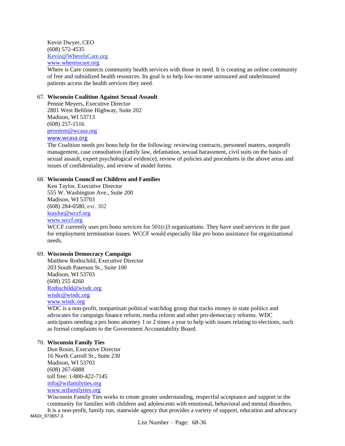Kevin Dwyer, CEO (608) 572-4535 [Kevin@WhereIsCare.org](mailto:Kevin@WhereIsCare.org) [www.whereiscare.org](http://www.whereiscare.org/)

Where is Care connects community health services with those in need. It is creating an online community of free and subsidized health resources. Its goal is to help low-income uninsured and underinsured patients access the health services they need.

## 67. **Wisconsin Coalition Against Sexual Assault**

Pennie Meyers, Executive Director 2801 West Beltline Highway, Suite 202 Madison, WI 53713 (608) 257-1516 [penniem@wcasa.org](mailto:penniem@wcasa.org) [www.wcasa.org](http://www.wcasa.org/)

The Coalition needs pro bono help for the following: reviewing contracts, personnel matters, nonprofit management, case consultation (family law, defamation, sexual harassment, civil suits on the basis of sexual assault, expert psychological evidence), review of policies and procedures in the above areas and issues of confidentiality, and review of model forms.

## 68. **Wisconsin Council on Children and Families**

Ken Taylor, Executive Director 555 W. Washington Ave., Suite 200 Madison, WI 53703 (608) 284-0580, ext. 302 [ktaylor@wccf.org](mailto:ktaylor@wccf.org) [www.wccf.org](http://www.wccf.org/)

WCCF currently uses pro bono services for 501(c)3 organizations. They have used services in the past for employment termination issues. WCCF would especially like pro bono assistance for organizational needs.

# 69. **Wisconsin Democracy Campaign**

Matthew Rothschild, Executive Director 203 South Paterson St., Suite 100 Madison, WI 53703 (608) 255 4260 [Rothschild@wisdc.org](mailto:Rothschild@wisdc.org) [wisdc@wisdc.org](mailto:wisdc@wisdc.org) www.wisdc.org

WDC is a non-profit, nonpartisan political watchdog group that tracks money in state politics and advocates for campaign finance reform, media reform and other pro-democracy reforms. WDC anticipates needing a pro bono attorney 1 or 2 times a year to help with issues relating to elections, such as formal complaints to the Government Accountability Board.

## 70. **Wisconsin Family Ties**

Don Rosin, Executive Director 16 North Carroll St., Suite 230 Madison, WI 53703 (608) 267-6888 toll free: 1-800-422-7145 [info@wifamilyties.org](mailto:info@wifamilyties.org) [www.wifamilyties.org](http://www.wifamilyties.org/)

MADI\_973657.3 Wisconsin Family Ties works to create greater understanding, respectful acceptance and support in the community for families with children and adolescents with emotional, behavioral and mental disorders. It is a non-profit, family run, statewide agency that provides a variety of support, education and advocacy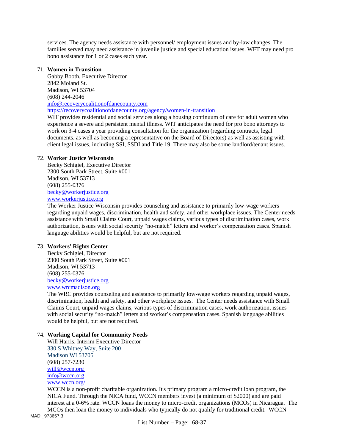services. The agency needs assistance with personnel/ employment issues and by-law changes. The families served may need assistance in juvenile justice and special education issues. WFT may need pro bono assistance for 1 or 2 cases each year.

#### 71. **Women in Transition**

Gabby Booth, Executive Director 2842 Moland St. Madison, WI 53704 (608) 244-2046 [info@recoverycoalitionofdanecounty.com](mailto:info@recoverycoalitionofdanecounty.com) <https://recoverycoalitionofdanecounty.org/agency/women-in-transition>

WIT provides residential and social services along a housing continuum of care for adult women who experience a severe and persistent mental illness. WIT anticipates the need for pro bono attorneys to work on 3-4 cases a year providing consultation for the organization (regarding contracts, legal documents, as well as becoming a representative on the Board of Directors) as well as assisting with client legal issues, including SSI, SSDI and Title 19. There may also be some landlord/tenant issues.

# 72. **Worker Justice Wisconsin**

Becky Schigiel, Executive Director 2300 South Park Street, Suite #001 Madison, WI 53713 (608) 255-0376 [becky@workerjustice.org](mailto:becky@workerjustice.org) [www.workerjustice.org](http://www.workerjustice.org/)

The Worker Justice Wisconsin provides counseling and assistance to primarily low-wage workers regarding unpaid wages, discrimination, health and safety, and other workplace issues. The Center needs assistance with Small Claims Court, unpaid wages claims, various types of discrimination cases, work authorization, issues with social security "no-match" letters and worker's compensation cases. Spanish language abilities would be helpful, but are not required.

#### 73. **Workers' Rights Center**

Becky Schigiel, Director 2300 South Park Street, Suite #001 Madison, WI 53713 (608) 255-0376 [becky@workerjustice.org](mailto:becky@workerjustice.org) [www.wrcmadison.org](http://www.wrcmadison.org/)

The WRC provides counseling and assistance to primarily low-wage workers regarding unpaid wages, discrimination, health and safety, and other workplace issues. The Center needs assistance with Small Claims Court, unpaid wages claims, various types of discrimination cases, work authorization, issues with social security "no-match" letters and worker's compensation cases. Spanish language abilities would be helpful, but are not required.

## 74. **Working Capital for Community Needs**

Will Harris, Interim Executive Director 330 S Whitney Way, Suite 200 Madison WI 53705 (608) 257-7230 [will@wccn.org](mailto:will@wccn.org) info@wccn.org [www.wccn.org/](file:///C:/Users/Binkley/Downloads/www.wccn.org/)

WCCN is a non-profit charitable organization. It's primary program a micro-credit loan program, the NICA Fund. Through the NICA fund, WCCN members invest (a minimum of \$2000) and are paid interest at a 0-6% rate. WCCN loans the money to micro-credit organizations (MCOs) in Nicaragua. The MCOs then loan the money to individuals who typically do not qualify for traditional credit. WCCN

MADI\_973657.3